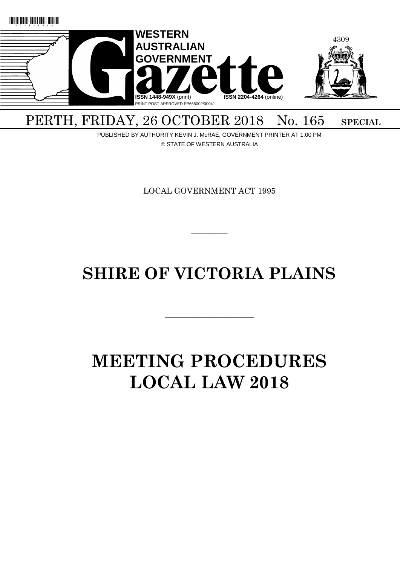

## PERTH, FRIDAY, 26 OCTOBER 2018 No. 165 SPECIAL

PUBLISHED BY AUTHORITY KEVIN J. McRAE, GOVERNMENT PRINTER AT 1.00 PM © STATE OF WESTERN AUSTRALIA

LOCAL GOVERNMENT ACT 1995

 $\overline{\phantom{a}}$ 

## **SHIRE OF VICTORIA PLAINS**

———————————

# **MEETING PROCEDURES LOCAL LAW 2018**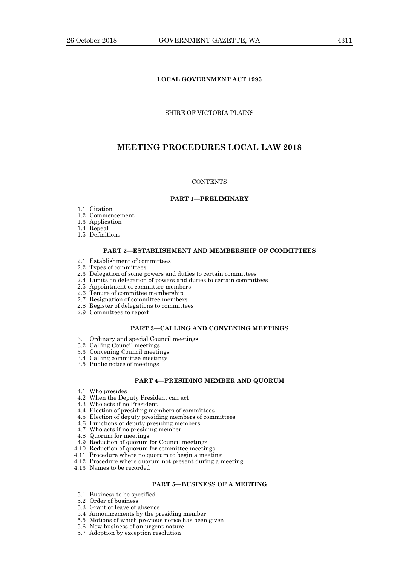## **LOCAL GOVERNMENT ACT 1995**

## SHIRE OF VICTORIA PLAINS

## **MEETING PROCEDURES LOCAL LAW 2018**

#### **CONTENTS**

## **PART 1—PRELIMINARY**

- 1.1 Citation
- 1.2 Commencement
- 1.3 Application
- 1.4 Repeal
- 1.5 Definitions

#### **PART 2—ESTABLISHMENT AND MEMBERSHIP OF COMMITTEES**

- 2.1 Establishment of committees
- 2.2 Types of committees
- 2.3 Delegation of some powers and duties to certain committees
- 2.4 Limits on delegation of powers and duties to certain committees
- 2.5 Appointment of committee members
- 2.6 Tenure of committee membership
- 2.7 Resignation of committee members
- 2.8 Register of delegations to committees
- 2.9 Committees to report

## **PART 3—CALLING AND CONVENING MEETINGS**

- 3.1 Ordinary and special Council meetings
- 3.2 Calling Council meetings
- 3.3 Convening Council meetings
- 3.4 Calling committee meetings
- 3.5 Public notice of meetings

#### **PART 4—PRESIDING MEMBER AND QUORUM**

- 4.1 Who presides
- 4.2 When the Deputy President can act
- 4.3 Who acts if no President
- 4.4 Election of presiding members of committees
- 4.5 Election of deputy presiding members of committees
- 4.6 Functions of deputy presiding members
- 4.7 Who acts if no presiding member
- 4.8 Quorum for meetings
- 4.9 Reduction of quorum for Council meetings
- 4.10 Reduction of quorum for committee meetings
- 4.11 Procedure where no quorum to begin a meeting
- 4.12 Procedure where quorum not present during a meeting
- 4.13 Names to be recorded

## **PART 5—BUSINESS OF A MEETING**

- 5.1 Business to be specified
- 5.2 Order of business
- 5.3 Grant of leave of absence
- 5.4 Announcements by the presiding member
- 5.5 Motions of which previous notice has been given
- 5.6 New business of an urgent nature
- 5.7 Adoption by exception resolution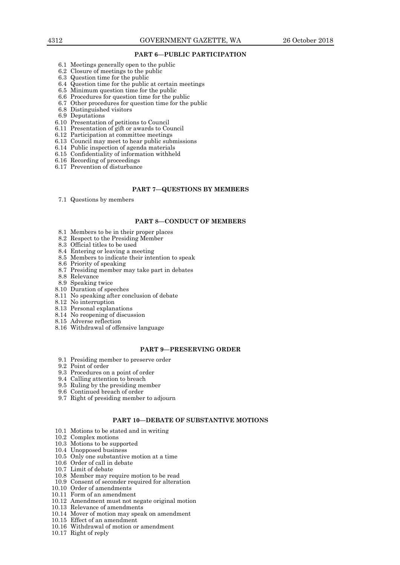#### **PART 6—PUBLIC PARTICIPATION**

- 6.1 Meetings generally open to the public
- 6.2 Closure of meetings to the public
- 6.3 Question time for the public
- 6.4 Question time for the public at certain meetings
- 6.5 Minimum question time for the public
- 6.6 Procedures for question time for the public
- 6.7 Other procedures for question time for the public
- 6.8 Distinguished visitors
- 6.9 Deputations
- 6.10 Presentation of petitions to Council
- 6.11 Presentation of gift or awards to Council
- 6.12 Participation at committee meetings
- 6.13 Council may meet to hear public submissions
- 6.14 Public inspection of agenda materials
- 6.15 Confidentiality of information withheld
- 6.16 Recording of proceedings
- 6.17 Prevention of disturbance

#### **PART 7—QUESTIONS BY MEMBERS**

7.1 Questions by members

## **PART 8—CONDUCT OF MEMBERS**

- 8.1 Members to be in their proper places
- 8.2 Respect to the Presiding Member
- 8.3 Official titles to be used
- 8.4 Entering or leaving a meeting
- 8.5 Members to indicate their intention to speak
- 8.6 Priority of speaking
- 8.7 Presiding member may take part in debates
- 8.8 Relevance
- 8.9 Speaking twice
- 8.10 Duration of speeches
- 8.11 No speaking after conclusion of debate
- 8.12 No interruption
- 8.13 Personal explanations
- 8.14 No reopening of discussion
- 8.15 Adverse reflection
- 8.16 Withdrawal of offensive language

## **PART 9—PRESERVING ORDER**

- 9.1 Presiding member to preserve order
- 9.2 Point of order
- 9.3 Procedures on a point of order
- 9.4 Calling attention to breach
- 9.5 Ruling by the presiding member
- 9.6 Continued breach of order
- 9.7 Right of presiding member to adjourn

#### **PART 10—DEBATE OF SUBSTANTIVE MOTIONS**

- 10.1 Motions to be stated and in writing
- 10.2 Complex motions
- 10.3 Motions to be supported
- 10.4 Unopposed business
- 10.5 Only one substantive motion at a time
- 10.6 Order of call in debate
- 10.7 Limit of debate
- 10.8 Member may require motion to be read
- 10.9 Consent of seconder required for alteration
- 10.10 Order of amendments
- 10.11 Form of an amendment
- 10.12 Amendment must not negate original motion
- 10.13 Relevance of amendments
- 10.14 Mover of motion may speak on amendment
- 10.15 Effect of an amendment
- 10.16 Withdrawal of motion or amendment
- 10.17 Right of reply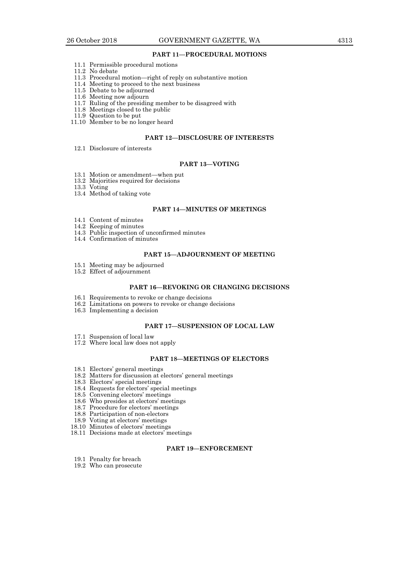#### **PART 11—PROCEDURAL MOTIONS**

- 11.1 Permissible procedural motions
- 11.2 No debate
- 11.3 Procedural motion—right of reply on substantive motion
- 11.4 Meeting to proceed to the next business
- 11.5 Debate to be adjourned
- 11.6 Meeting now adjourn
- 11.7 Ruling of the presiding member to be disagreed with
- 11.8 Meetings closed to the public
- 11.9 Question to be put
- 11.10 Member to be no longer heard

## **PART 12—DISCLOSURE OF INTERESTS**

12.1 Disclosure of interests

#### **PART 13—VOTING**

- 13.1 Motion or amendment—when put
- 13.2 Majorities required for decisions
- 13.3 Voting
- 13.4 Method of taking vote

## **PART 14—MINUTES OF MEETINGS**

- 14.1 Content of minutes
- 14.2 Keeping of minutes
- 14.3 Public inspection of unconfirmed minutes
- 14.4 Confirmation of minutes

## **PART 15—ADJOURNMENT OF MEETING**

- 15.1 Meeting may be adjourned
- 15.2 Effect of adjournment

#### **PART 16—REVOKING OR CHANGING DECISIONS**

- 16.1 Requirements to revoke or change decisions
- 16.2 Limitations on powers to revoke or change decisions
- 16.3 Implementing a decision

## **PART 17—SUSPENSION OF LOCAL LAW**

- 17.1 Suspension of local law
- 17.2 Where local law does not apply

## **PART 18—MEETINGS OF ELECTORS**

- 18.1 Electors' general meetings
- 18.2 Matters for discussion at electors' general meetings
- 18.3 Electors' special meetings
- 18.4 Requests for electors' special meetings
- 18.5 Convening electors' meetings
- 18.6 Who presides at electors' meetings
- 18.7 Procedure for electors' meetings
- 18.8 Participation of non-electors
- 18.9 Voting at electors' meetings
- 18.10 Minutes of electors' meetings
- 18.11 Decisions made at electors' meetings

## **PART 19—ENFORCEMENT**

- 19.1 Penalty for breach
- 19.2 Who can prosecute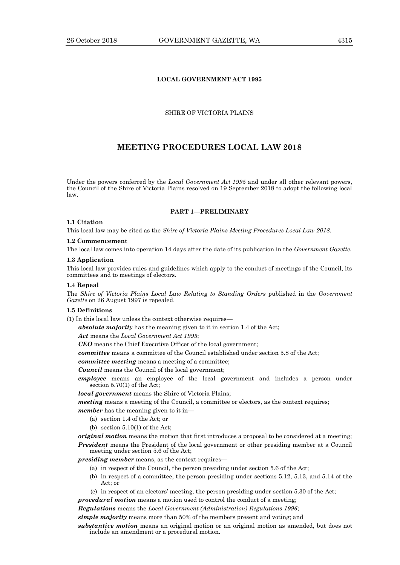## **LOCAL GOVERNMENT ACT 1995**

## SHIRE OF VICTORIA PLAINS

## **MEETING PROCEDURES LOCAL LAW 2018**

Under the powers conferred by the *Local Government Act 1995* and under all other relevant powers, the Council of the Shire of Victoria Plains resolved on 19 September 2018 to adopt the following local law.

## **PART 1—PRELIMINARY**

## **1.1 Citation**

This local law may be cited as the *Shire of Victoria Plains Meeting Procedures Local Law 2018*.

#### **1.2 Commencement**

The local law comes into operation 14 days after the date of its publication in the *Government Gazette*.

#### **1.3 Application**

This local law provides rules and guidelines which apply to the conduct of meetings of the Council, its committees and to meetings of electors.

#### **1.4 Repeal**

The *Shire of Victoria Plains Local Law Relating to Standing Orders* published in the *Government Gazette* on 26 August 1997 is repealed.

## **1.5 Definitions**

(1) In this local law unless the context otherwise requires—

*absolute majority* has the meaning given to it in section 1.4 of the Act;

*Act* means the *Local Government Act 1995*;

*CEO* means the Chief Executive Officer of the local government;

*committee* means a committee of the Council established under section 5.8 of the Act;

*committee meeting* means a meeting of a committee;

*Council* means the Council of the local government;

*employee* means an employee of the local government and includes a person under section 5.70(1) of the Act;

*local government* means the Shire of Victoria Plains;

*meeting* means a meeting of the Council, a committee or electors, as the context requires;

*member* has the meaning given to it in—

- (a) section 1.4 of the Act; or
- (b) section  $5.10(1)$  of the Act;

*original motion* means the motion that first introduces a proposal to be considered at a meeting; *President* means the President of the local government or other presiding member at a Council meeting under section 5.6 of the Act;

*presiding member* means, as the context requires-

- (a) in respect of the Council, the person presiding under section 5.6 of the Act;
- (b) in respect of a committee, the person presiding under sections 5.12, 5.13, and 5.14 of the Act; or
- (c) in respect of an electors' meeting, the person presiding under section 5.30 of the Act;

*procedural motion* means a motion used to control the conduct of a meeting;

*Regulations* means the *Local Government (Administration) Regulations 1996*;

*simple majority* means more than 50% of the members present and voting; and

*substantive motion* means an original motion or an original motion as amended, but does not include an amendment or a procedural motion.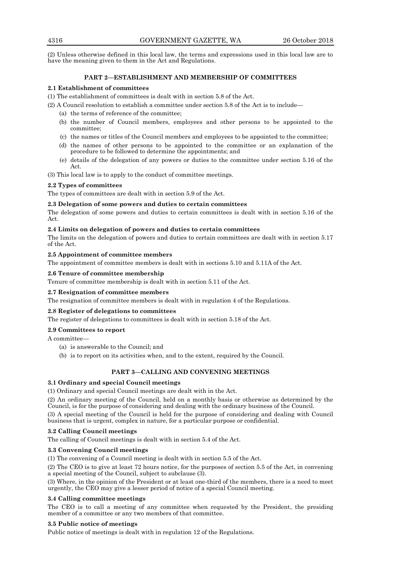(2) Unless otherwise defined in this local law, the terms and expressions used in this local law are to have the meaning given to them in the Act and Regulations.

## **PART 2—ESTABLISHMENT AND MEMBERSHIP OF COMMITTEES**

## **2.1 Establishment of committees**

(1) The establishment of committees is dealt with in section 5.8 of the Act.

(2) A Council resolution to establish a committee under section 5.8 of the Act is to include—

- (a) the terms of reference of the committee;
- (b) the number of Council members, employees and other persons to be appointed to the committee;
- (c) the names or titles of the Council members and employees to be appointed to the committee;
- (d) the names of other persons to be appointed to the committee or an explanation of the procedure to be followed to determine the appointments; and
- (e) details of the delegation of any powers or duties to the committee under section 5.16 of the Act.

(3) This local law is to apply to the conduct of committee meetings.

## **2.2 Types of committees**

The types of committees are dealt with in section 5.9 of the Act.

## **2.3 Delegation of some powers and duties to certain committees**

The delegation of some powers and duties to certain committees is dealt with in section 5.16 of the Act.

## **2.4 Limits on delegation of powers and duties to certain committees**

The limits on the delegation of powers and duties to certain committees are dealt with in section 5.17 of the Act.

## **2.5 Appointment of committee members**

The appointment of committee members is dealt with in sections 5.10 and 5.11A of the Act.

## **2.6 Tenure of committee membership**

Tenure of committee membership is dealt with in section 5.11 of the Act.

## **2.7 Resignation of committee members**

The resignation of committee members is dealt with in regulation 4 of the Regulations.

## **2.8 Register of delegations to committees**

The register of delegations to committees is dealt with in section 5.18 of the Act.

## **2.9 Committees to report**

A committee—

- (a) is answerable to the Council; and
- (b) is to report on its activities when, and to the extent, required by the Council.

## **PART 3—CALLING AND CONVENING MEETINGS**

## **3.1 Ordinary and special Council meetings**

(1) Ordinary and special Council meetings are dealt with in the Act.

(2) An ordinary meeting of the Council, held on a monthly basis or otherwise as determined by the Council, is for the purpose of considering and dealing with the ordinary business of the Council.

(3) A special meeting of the Council is held for the purpose of considering and dealing with Council business that is urgent, complex in nature, for a particular purpose or confidential.

## **3.2 Calling Council meetings**

The calling of Council meetings is dealt with in section 5.4 of the Act.

## **3.3 Convening Council meetings**

(1) The convening of a Council meeting is dealt with in section 5.5 of the Act.

(2) The CEO is to give at least 72 hours notice, for the purposes of section 5.5 of the Act, in convening a special meeting of the Council, subject to subclause (3).

(3) Where, in the opinion of the President or at least one-third of the members, there is a need to meet urgently, the CEO may give a lesser period of notice of a special Council meeting.

## **3.4 Calling committee meetings**

The CEO is to call a meeting of any committee when requested by the President, the presiding member of a committee or any two members of that committee.

## **3.5 Public notice of meetings**

Public notice of meetings is dealt with in regulation 12 of the Regulations.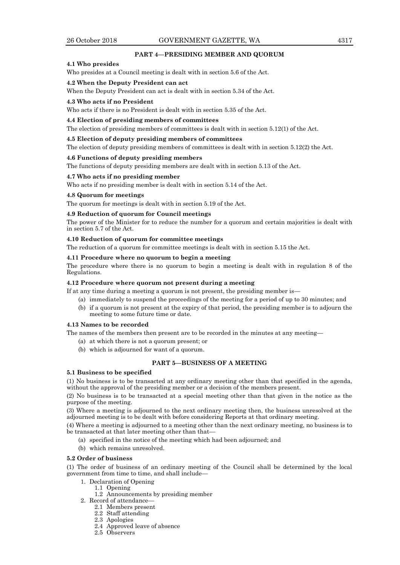## **PART 4—PRESIDING MEMBER AND QUORUM**

## **4.1 Who presides**

Who presides at a Council meeting is dealt with in section 5.6 of the Act.

#### **4.2 When the Deputy President can act**

When the Deputy President can act is dealt with in section 5.34 of the Act.

#### **4.3 Who acts if no President**

Who acts if there is no President is dealt with in section 5.35 of the Act.

#### **4.4 Election of presiding members of committees**

The election of presiding members of committees is dealt with in section 5.12(1) of the Act.

#### **4.5 Election of deputy presiding members of committees**

The election of deputy presiding members of committees is dealt with in section 5.12(2) the Act.

## **4.6 Functions of deputy presiding members**

The functions of deputy presiding members are dealt with in section 5.13 of the Act.

#### **4.7 Who acts if no presiding member**

Who acts if no presiding member is dealt with in section 5.14 of the Act.

#### **4.8 Quorum for meetings**

The quorum for meetings is dealt with in section 5.19 of the Act.

#### **4.9 Reduction of quorum for Council meetings**

The power of the Minister for to reduce the number for a quorum and certain majorities is dealt with in section 5.7 of the Act.

## **4.10 Reduction of quorum for committee meetings**

The reduction of a quorum for committee meetings is dealt with in section 5.15 the Act.

#### **4.11 Procedure where no quorum to begin a meeting**

The procedure where there is no quorum to begin a meeting is dealt with in regulation 8 of the Regulations.

## **4.12 Procedure where quorum not present during a meeting**

If at any time during a meeting a quorum is not present, the presiding member is—

- (a) immediately to suspend the proceedings of the meeting for a period of up to 30 minutes; and
- (b) if a quorum is not present at the expiry of that period, the presiding member is to adjourn the meeting to some future time or date.

#### **4.13 Names to be recorded**

The names of the members then present are to be recorded in the minutes at any meeting—

- (a) at which there is not a quorum present; or
- (b) which is adjourned for want of a quorum.

## **PART 5—BUSINESS OF A MEETING**

#### **5.1 Business to be specified**

(1) No business is to be transacted at any ordinary meeting other than that specified in the agenda, without the approval of the presiding member or a decision of the members present.

(2) No business is to be transacted at a special meeting other than that given in the notice as the purpose of the meeting.

(3) Where a meeting is adjourned to the next ordinary meeting then, the business unresolved at the adjourned meeting is to be dealt with before considering Reports at that ordinary meeting.

(4) Where a meeting is adjourned to a meeting other than the next ordinary meeting, no business is to be transacted at that later meeting other than that—

- (a) specified in the notice of the meeting which had been adjourned; and
- (b) which remains unresolved.

## **5.2 Order of business**

(1) The order of business of an ordinary meeting of the Council shall be determined by the local government from time to time, and shall include—

- 1. Declaration of Opening
	- 1.1 Opening
	- 1.2 Announcements by presiding member
- 2. Record of attendance-
	- 2.1 Members present
	- 2.2 Staff attending 2.3 Apologies
	-
	- 2.4 Approved leave of absence
	- 2.5 Observers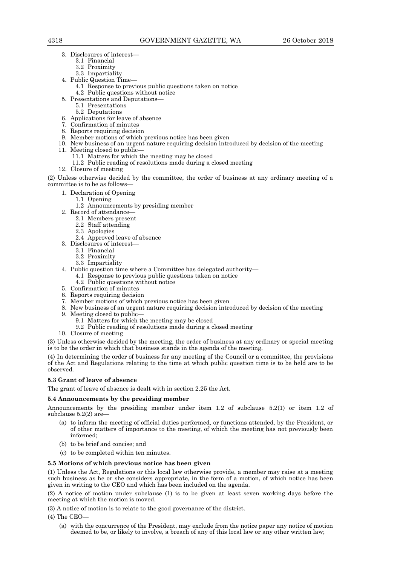- 3. Disclosures of interest—
	- 3.1 Financial
	- 3.2 Proximity
	- 3.3 Impartiality
- 4. Public Question Time—
	- 4.1 Response to previous public questions taken on notice 4.2 Public questions without notice
	-
- 5. Presentations and Deputations— 5.1 Presentations
	- 5.2 Deputations
- 6. Applications for leave of absence
- 7. Confirmation of minutes
- 8. Reports requiring decision
- 9. Member motions of which previous notice has been given
- 10. New business of an urgent nature requiring decision introduced by decision of the meeting
- 11. Meeting closed to public—
	- 11.1 Matters for which the meeting may be closed
	- 11.2 Public reading of resolutions made during a closed meeting
- 12. Closure of meeting

(2) Unless otherwise decided by the committee, the order of business at any ordinary meeting of a committee is to be as follows—

- 1. Declaration of Opening
	- 1.1 Opening
	- 1.2 Announcements by presiding member
- 2. Record of attendance—
	- 2.1 Members present
		- 2.2 Staff attending
		- 2.3 Apologies
	- 2.4 Approved leave of absence
- 3. Disclosures of interest—
	- 3.1 Financial
	- 3.2 Proximity
	- 3.3 Impartiality
- 4. Public question time where a Committee has delegated authority—
	- 4.1 Response to previous public questions taken on notice
	- 4.2 Public questions without notice
- 5. Confirmation of minutes
- 6. Reports requiring decision
- 7. Member motions of which previous notice has been given
- 8. New business of an urgent nature requiring decision introduced by decision of the meeting
- 9. Meeting closed to public—
	- 9.1 Matters for which the meeting may be closed
	- 9.2 Public reading of resolutions made during a closed meeting
- 10. Closure of meeting

(3) Unless otherwise decided by the meeting, the order of business at any ordinary or special meeting is to be the order in which that business stands in the agenda of the meeting.

(4) In determining the order of business for any meeting of the Council or a committee, the provisions of the Act and Regulations relating to the time at which public question time is to be held are to be observed.

## **5.3 Grant of leave of absence**

The grant of leave of absence is dealt with in section 2.25 the Act.

## **5.4 Announcements by the presiding member**

Announcements by the presiding member under item 1.2 of subclause 5.2(1) or item 1.2 of subclause  $5.2(2)$  are

- (a) to inform the meeting of official duties performed, or functions attended, by the President, or of other matters of importance to the meeting, of which the meeting has not previously been informed;
- (b) to be brief and concise; and
- (c) to be completed within ten minutes.

## **5.5 Motions of which previous notice has been given**

(1) Unless the Act, Regulations or this local law otherwise provide, a member may raise at a meeting such business as he or she considers appropriate, in the form of a motion, of which notice has been given in writing to the CEO and which has been included on the agenda.

(2) A notice of motion under subclause (1) is to be given at least seven working days before the meeting at which the motion is moved.

(3) A notice of motion is to relate to the good governance of the district.

- (4) The CEO—
	- (a) with the concurrence of the President, may exclude from the notice paper any notice of motion deemed to be, or likely to involve, a breach of any of this local law or any other written law;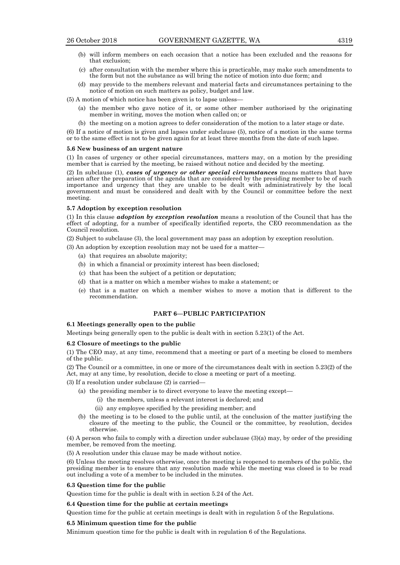- (b) will inform members on each occasion that a notice has been excluded and the reasons for that exclusion;
- (c) after consultation with the member where this is practicable, may make such amendments to the form but not the substance as will bring the notice of motion into due form; and
- (d) may provide to the members relevant and material facts and circumstances pertaining to the notice of motion on such matters as policy, budget and law.

(5) A motion of which notice has been given is to lapse unless—

- (a) the member who gave notice of it, or some other member authorised by the originating member in writing, moves the motion when called on; or
- (b) the meeting on a motion agrees to defer consideration of the motion to a later stage or date.

(6) If a notice of motion is given and lapses under subclause (5), notice of a motion in the same terms or to the same effect is not to be given again for at least three months from the date of such lapse.

#### **5.6 New business of an urgent nature**

(1) In cases of urgency or other special circumstances, matters may, on a motion by the presiding member that is carried by the meeting, be raised without notice and decided by the meeting.

(2) In subclause (1), *cases of urgency or other special circumstances* means matters that have arisen after the preparation of the agenda that are considered by the presiding member to be of such importance and urgency that they are unable to be dealt with administratively by the local government and must be considered and dealt with by the Council or committee before the next meeting.

#### **5.7 Adoption by exception resolution**

(1) In this clause *adoption by exception resolution* means a resolution of the Council that has the effect of adopting, for a number of specifically identified reports, the CEO recommendation as the Council resolution.

(2) Subject to subclause (3), the local government may pass an adoption by exception resolution.

- (3) An adoption by exception resolution may not be used for a matter—
	- (a) that requires an absolute majority;
	- (b) in which a financial or proximity interest has been disclosed;
	- (c) that has been the subject of a petition or deputation;
	- (d) that is a matter on which a member wishes to make a statement; or
	- (e) that is a matter on which a member wishes to move a motion that is different to the recommendation.

## **PART 6—PUBLIC PARTICIPATION**

#### **6.1 Meetings generally open to the public**

Meetings being generally open to the public is dealt with in section 5.23(1) of the Act.

#### **6.2 Closure of meetings to the public**

(1) The CEO may, at any time, recommend that a meeting or part of a meeting be closed to members of the public.

(2) The Council or a committee, in one or more of the circumstances dealt with in section 5.23(2) of the Act, may at any time, by resolution, decide to close a meeting or part of a meeting.

(3) If a resolution under subclause (2) is carried—

- (a) the presiding member is to direct everyone to leave the meeting except—
	- (i) the members, unless a relevant interest is declared; and
	- (ii) any employee specified by the presiding member; and
- (b) the meeting is to be closed to the public until, at the conclusion of the matter justifying the closure of the meeting to the public, the Council or the committee, by resolution, decides otherwise.

(4) A person who fails to comply with a direction under subclause (3)(a) may, by order of the presiding member, be removed from the meeting.

(5) A resolution under this clause may be made without notice.

(6) Unless the meeting resolves otherwise, once the meeting is reopened to members of the public, the presiding member is to ensure that any resolution made while the meeting was closed is to be read out including a vote of a member to be included in the minutes.

#### **6.3 Question time for the public**

Question time for the public is dealt with in section 5.24 of the Act.

#### **6.4 Question time for the public at certain meetings**

Question time for the public at certain meetings is dealt with in regulation 5 of the Regulations.

#### **6.5 Minimum question time for the public**

Minimum question time for the public is dealt with in regulation 6 of the Regulations.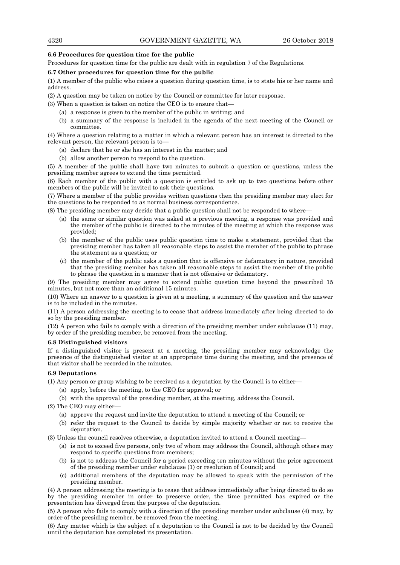## **6.6 Procedures for question time for the public**

Procedures for question time for the public are dealt with in regulation 7 of the Regulations.

## **6.7 Other procedures for question time for the public**

(1) A member of the public who raises a question during question time, is to state his or her name and address.

(2) A question may be taken on notice by the Council or committee for later response.

- (3) When a question is taken on notice the CEO is to ensure that—
	- (a) a response is given to the member of the public in writing; and
	- (b) a summary of the response is included in the agenda of the next meeting of the Council or committee.

(4) Where a question relating to a matter in which a relevant person has an interest is directed to the relevant person, the relevant person is to—

- (a) declare that he or she has an interest in the matter; and
- (b) allow another person to respond to the question.

(5) A member of the public shall have two minutes to submit a question or questions, unless the presiding member agrees to extend the time permitted.

(6) Each member of the public with a question is entitled to ask up to two questions before other members of the public will be invited to ask their questions.

(7) Where a member of the public provides written questions then the presiding member may elect for the questions to be responded to as normal business correspondence.

(8) The presiding member may decide that a public question shall not be responded to where—

- (a) the same or similar question was asked at a previous meeting, a response was provided and the member of the public is directed to the minutes of the meeting at which the response was provided;
- (b) the member of the public uses public question time to make a statement, provided that the presiding member has taken all reasonable steps to assist the member of the public to phrase the statement as a question; or
- (c) the member of the public asks a question that is offensive or defamatory in nature, provided that the presiding member has taken all reasonable steps to assist the member of the public to phrase the question in a manner that is not offensive or defamatory.

(9) The presiding member may agree to extend public question time beyond the prescribed 15 minutes, but not more than an additional 15 minutes.

(10) Where an answer to a question is given at a meeting, a summary of the question and the answer is to be included in the minutes.

(11) A person addressing the meeting is to cease that address immediately after being directed to do so by the presiding member.

(12) A person who fails to comply with a direction of the presiding member under subclause (11) may, by order of the presiding member, be removed from the meeting.

#### **6.8 Distinguished visitors**

If a distinguished visitor is present at a meeting, the presiding member may acknowledge the presence of the distinguished visitor at an appropriate time during the meeting, and the presence of that visitor shall be recorded in the minutes.

#### **6.9 Deputations**

(1) Any person or group wishing to be received as a deputation by the Council is to either—

- (a) apply, before the meeting, to the CEO for approval; or
- (b) with the approval of the presiding member, at the meeting, address the Council.

(2) The CEO may either—

- (a) approve the request and invite the deputation to attend a meeting of the Council; or
- (b) refer the request to the Council to decide by simple majority whether or not to receive the deputation.

(3) Unless the council resolves otherwise, a deputation invited to attend a Council meeting—

- (a) is not to exceed five persons, only two of whom may address the Council, although others may respond to specific questions from members;
- (b) is not to address the Council for a period exceeding ten minutes without the prior agreement of the presiding member under subclause (1) or resolution of Council; and
- (c) additional members of the deputation may be allowed to speak with the permission of the presiding member.

(4) A person addressing the meeting is to cease that address immediately after being directed to do so by the presiding member in order to preserve order, the time permitted has expired or the presentation has diverged from the purpose of the deputation.

(5) A person who fails to comply with a direction of the presiding member under subclause (4) may, by order of the presiding member, be removed from the meeting.

(6) Any matter which is the subject of a deputation to the Council is not to be decided by the Council until the deputation has completed its presentation.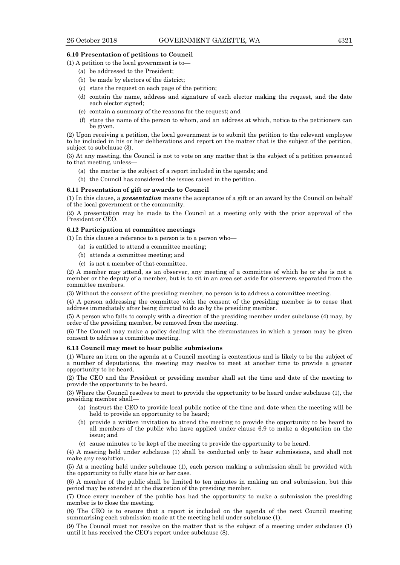#### **6.10 Presentation of petitions to Council**

(1) A petition to the local government is to—

- (a) be addressed to the President;
- (b) be made by electors of the district;
- (c) state the request on each page of the petition;
- (d) contain the name, address and signature of each elector making the request, and the date each elector signed;
- (e) contain a summary of the reasons for the request; and
- (f) state the name of the person to whom, and an address at which, notice to the petitioners can be given.

(2) Upon receiving a petition, the local government is to submit the petition to the relevant employee to be included in his or her deliberations and report on the matter that is the subject of the petition, subject to subclause (3).

(3) At any meeting, the Council is not to vote on any matter that is the subject of a petition presented to that meeting, unless—

- (a) the matter is the subject of a report included in the agenda; and
- (b) the Council has considered the issues raised in the petition.

#### **6.11 Presentation of gift or awards to Council**

(1) In this clause, a *presentation* means the acceptance of a gift or an award by the Council on behalf of the local government or the community.

(2) A presentation may be made to the Council at a meeting only with the prior approval of the President or CEO.

#### **6.12 Participation at committee meetings**

(1) In this clause a reference to a person is to a person who—

- (a) is entitled to attend a committee meeting;
- (b) attends a committee meeting; and
- (c) is not a member of that committee.

(2) A member may attend, as an observer, any meeting of a committee of which he or she is not a member or the deputy of a member, but is to sit in an area set aside for observers separated from the committee members.

(3) Without the consent of the presiding member, no person is to address a committee meeting.

(4) A person addressing the committee with the consent of the presiding member is to cease that address immediately after being directed to do so by the presiding member.

(5) A person who fails to comply with a direction of the presiding member under subclause (4) may, by order of the presiding member, be removed from the meeting.

(6) The Council may make a policy dealing with the circumstances in which a person may be given consent to address a committee meeting.

## **6.13 Council may meet to hear public submissions**

(1) Where an item on the agenda at a Council meeting is contentious and is likely to be the subject of a number of deputations, the meeting may resolve to meet at another time to provide a greater opportunity to be heard.

(2) The CEO and the President or presiding member shall set the time and date of the meeting to provide the opportunity to be heard.

(3) Where the Council resolves to meet to provide the opportunity to be heard under subclause (1), the presiding member shall—

- (a) instruct the CEO to provide local public notice of the time and date when the meeting will be held to provide an opportunity to be heard;
- (b) provide a written invitation to attend the meeting to provide the opportunity to be heard to all members of the public who have applied under clause 6.9 to make a deputation on the issue; and
- (c) cause minutes to be kept of the meeting to provide the opportunity to be heard.

(4) A meeting held under subclause (1) shall be conducted only to hear submissions, and shall not make any resolution.

(5) At a meeting held under subclause (1), each person making a submission shall be provided with the opportunity to fully state his or her case.

(6) A member of the public shall be limited to ten minutes in making an oral submission, but this period may be extended at the discretion of the presiding member.

(7) Once every member of the public has had the opportunity to make a submission the presiding member is to close the meeting.

(8) The CEO is to ensure that a report is included on the agenda of the next Council meeting summarising each submission made at the meeting held under subclause (1).

(9) The Council must not resolve on the matter that is the subject of a meeting under subclause (1) until it has received the CEO's report under subclause (8).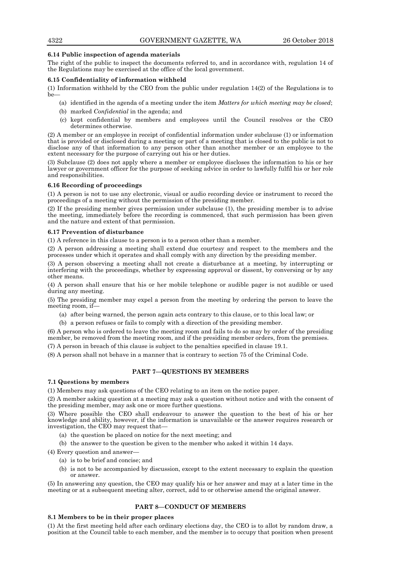## **6.14 Public inspection of agenda materials**

The right of the public to inspect the documents referred to, and in accordance with, regulation 14 of the Regulations may be exercised at the office of the local government.

## **6.15 Confidentiality of information withheld**

(1) Information withheld by the CEO from the public under regulation 14(2) of the Regulations is to be—

- (a) identified in the agenda of a meeting under the item *Matters for which meeting may be closed*;
- (b) marked *Confidential* in the agenda; and
- (c) kept confidential by members and employees until the Council resolves or the CEO determines otherwise.

(2) A member or an employee in receipt of confidential information under subclause (1) or information that is provided or disclosed during a meeting or part of a meeting that is closed to the public is not to disclose any of that information to any person other than another member or an employee to the extent necessary for the purpose of carrying out his or her duties.

(3) Subclause (2) does not apply where a member or employee discloses the information to his or her lawyer or government officer for the purpose of seeking advice in order to lawfully fulfil his or her role and responsibilities.

## **6.16 Recording of proceedings**

(1) A person is not to use any electronic, visual or audio recording device or instrument to record the proceedings of a meeting without the permission of the presiding member.

(2) If the presiding member gives permission under subclause (1), the presiding member is to advise the meeting, immediately before the recording is commenced, that such permission has been given and the nature and extent of that permission.

## **6.17 Prevention of disturbance**

(1) A reference in this clause to a person is to a person other than a member.

(2) A person addressing a meeting shall extend due courtesy and respect to the members and the processes under which it operates and shall comply with any direction by the presiding member.

(3) A person observing a meeting shall not create a disturbance at a meeting, by interrupting or interfering with the proceedings, whether by expressing approval or dissent, by conversing or by any other means.

(4) A person shall ensure that his or her mobile telephone or audible pager is not audible or used during any meeting.

(5) The presiding member may expel a person from the meeting by ordering the person to leave the meeting room, if—

(a) after being warned, the person again acts contrary to this clause, or to this local law; or

(b) a person refuses or fails to comply with a direction of the presiding member.

(6) A person who is ordered to leave the meeting room and fails to do so may by order of the presiding member, be removed from the meeting room, and if the presiding member orders, from the premises.

(7) A person in breach of this clause is subject to the penalties specified in clause 19.1.

(8) A person shall not behave in a manner that is contrary to section 75 of the Criminal Code.

## **PART 7—QUESTIONS BY MEMBERS**

## **7.1 Questions by members**

(1) Members may ask questions of the CEO relating to an item on the notice paper.

(2) A member asking question at a meeting may ask a question without notice and with the consent of the presiding member, may ask one or more further questions.

(3) Where possible the CEO shall endeavour to answer the question to the best of his or her knowledge and ability, however, if the information is unavailable or the answer requires research or investigation, the CEO may request that—

- (a) the question be placed on notice for the next meeting; and
- (b) the answer to the question be given to the member who asked it within 14 days.

(4) Every question and answer—

- (a) is to be brief and concise; and
- (b) is not to be accompanied by discussion, except to the extent necessary to explain the question or answer.

(5) In answering any question, the CEO may qualify his or her answer and may at a later time in the meeting or at a subsequent meeting alter, correct, add to or otherwise amend the original answer.

## **PART 8—CONDUCT OF MEMBERS**

## **8.1 Members to be in their proper places**

(1) At the first meeting held after each ordinary elections day, the CEO is to allot by random draw, a position at the Council table to each member, and the member is to occupy that position when present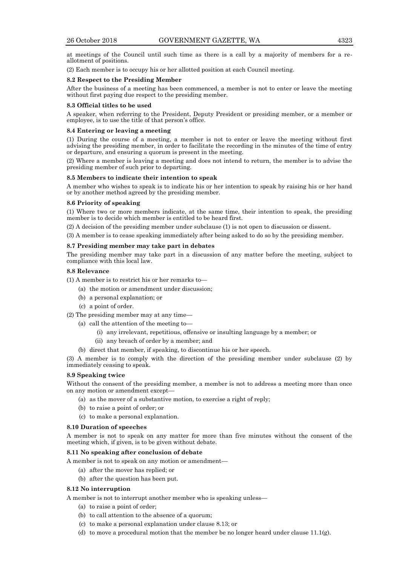at meetings of the Council until such time as there is a call by a majority of members for a reallotment of positions.

(2) Each member is to occupy his or her allotted position at each Council meeting.

## **8.2 Respect to the Presiding Member**

After the business of a meeting has been commenced, a member is not to enter or leave the meeting without first paying due respect to the presiding member.

## **8.3 Official titles to be used**

A speaker, when referring to the President, Deputy President or presiding member, or a member or employee, is to use the title of that person's office.

## **8.4 Entering or leaving a meeting**

(1) During the course of a meeting, a member is not to enter or leave the meeting without first advising the presiding member, in order to facilitate the recording in the minutes of the time of entry or departure, and ensuring a quorum is present in the meeting.

(2) Where a member is leaving a meeting and does not intend to return, the member is to advise the presiding member of such prior to departing.

## **8.5 Members to indicate their intention to speak**

A member who wishes to speak is to indicate his or her intention to speak by raising his or her hand or by another method agreed by the presiding member.

## **8.6 Priority of speaking**

(1) Where two or more members indicate, at the same time, their intention to speak, the presiding member is to decide which member is entitled to be heard first.

(2) A decision of the presiding member under subclause (1) is not open to discussion or dissent.

(3) A member is to cease speaking immediately after being asked to do so by the presiding member.

## **8.7 Presiding member may take part in debates**

The presiding member may take part in a discussion of any matter before the meeting, subject to compliance with this local law.

## **8.8 Relevance**

(1) A member is to restrict his or her remarks to—

- (a) the motion or amendment under discussion;
- (b) a personal explanation; or
- (c) a point of order.

## (2) The presiding member may at any time—

- (a) call the attention of the meeting to—
	- (i) any irrelevant, repetitious, offensive or insulting language by a member; or
	- (ii) any breach of order by a member; and
- (b) direct that member, if speaking, to discontinue his or her speech.

(3) A member is to comply with the direction of the presiding member under subclause (2) by immediately ceasing to speak.

## **8.9 Speaking twice**

Without the consent of the presiding member, a member is not to address a meeting more than once on any motion or amendment except—

- (a) as the mover of a substantive motion, to exercise a right of reply;
- (b) to raise a point of order; or
- (c) to make a personal explanation.

#### **8.10 Duration of speeches**

A member is not to speak on any matter for more than five minutes without the consent of the meeting which, if given, is to be given without debate.

## **8.11 No speaking after conclusion of debate**

A member is not to speak on any motion or amendment—

- (a) after the mover has replied; or
- (b) after the question has been put.

## **8.12 No interruption**

A member is not to interrupt another member who is speaking unless—

- (a) to raise a point of order;
- (b) to call attention to the absence of a quorum;
- (c) to make a personal explanation under clause 8.13; or
- (d) to move a procedural motion that the member be no longer heard under clause  $11.1(g)$ .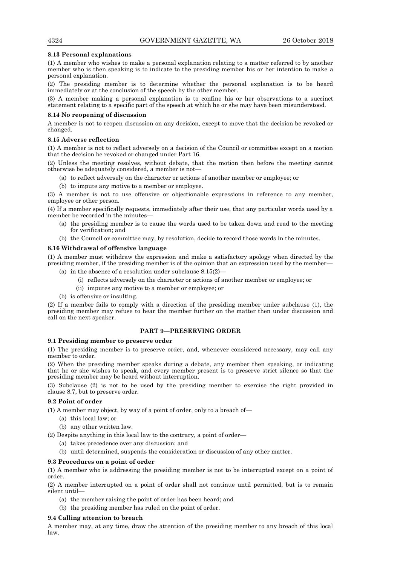## **8.13 Personal explanations**

(1) A member who wishes to make a personal explanation relating to a matter referred to by another member who is then speaking is to indicate to the presiding member his or her intention to make a personal explanation.

(2) The presiding member is to determine whether the personal explanation is to be heard immediately or at the conclusion of the speech by the other member.

(3) A member making a personal explanation is to confine his or her observations to a succinct statement relating to a specific part of the speech at which he or she may have been misunderstood.

## **8.14 No reopening of discussion**

A member is not to reopen discussion on any decision, except to move that the decision be revoked or changed.

#### **8.15 Adverse reflection**

(1) A member is not to reflect adversely on a decision of the Council or committee except on a motion that the decision be revoked or changed under Part 16.

(2) Unless the meeting resolves, without debate, that the motion then before the meeting cannot otherwise be adequately considered, a member is not—

- (a) to reflect adversely on the character or actions of another member or employee; or
- (b) to impute any motive to a member or employee.

(3) A member is not to use offensive or objectionable expressions in reference to any member, employee or other person.

(4) If a member specifically requests, immediately after their use, that any particular words used by a member be recorded in the minutes—

- (a) the presiding member is to cause the words used to be taken down and read to the meeting for verification; and
- (b) the Council or committee may, by resolution, decide to record those words in the minutes.

#### **8.16 Withdrawal of offensive language**

(1) A member must withdraw the expression and make a satisfactory apology when directed by the presiding member, if the presiding member is of the opinion that an expression used by the member—

- (a) in the absence of a resolution under subclause  $8.15(2)$ 
	- (i) reflects adversely on the character or actions of another member or employee; or
		- (ii) imputes any motive to a member or employee; or
- (b) is offensive or insulting.

(2) If a member fails to comply with a direction of the presiding member under subclause (1), the presiding member may refuse to hear the member further on the matter then under discussion and call on the next speaker.

## **PART 9—PRESERVING ORDER**

## **9.1 Presiding member to preserve order**

(1) The presiding member is to preserve order, and, whenever considered necessary, may call any member to order.

(2) When the presiding member speaks during a debate, any member then speaking, or indicating that he or she wishes to speak, and every member present is to preserve strict silence so that the presiding member may be heard without interruption.

(3) Subclause (2) is not to be used by the presiding member to exercise the right provided in clause 8.7, but to preserve order.

## **9.2 Point of order**

- (1) A member may object, by way of a point of order, only to a breach of—
	- (a) this local law; or
	- (b) any other written law.
- (2) Despite anything in this local law to the contrary, a point of order—
	- (a) takes precedence over any discussion; and
	- (b) until determined, suspends the consideration or discussion of any other matter.

#### **9.3 Procedures on a point of order**

(1) A member who is addressing the presiding member is not to be interrupted except on a point of order.

(2) A member interrupted on a point of order shall not continue until permitted, but is to remain silent until—

- (a) the member raising the point of order has been heard; and
- (b) the presiding member has ruled on the point of order.

## **9.4 Calling attention to breach**

A member may, at any time, draw the attention of the presiding member to any breach of this local law.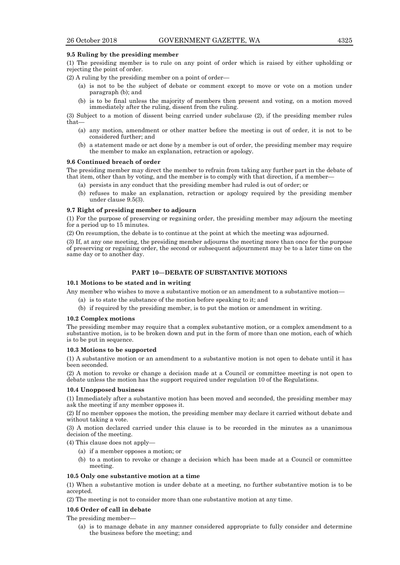#### **9.5 Ruling by the presiding member**

(1) The presiding member is to rule on any point of order which is raised by either upholding or rejecting the point of order.

(2) A ruling by the presiding member on a point of order—

- (a) is not to be the subject of debate or comment except to move or vote on a motion under paragraph (b); and
- (b) is to be final unless the majority of members then present and voting, on a motion moved immediately after the ruling, dissent from the ruling.

(3) Subject to a motion of dissent being carried under subclause (2), if the presiding member rules that—

- (a) any motion, amendment or other matter before the meeting is out of order, it is not to be considered further; and
- (b) a statement made or act done by a member is out of order, the presiding member may require the member to make an explanation, retraction or apology.

#### **9.6 Continued breach of order**

The presiding member may direct the member to refrain from taking any further part in the debate of that item, other than by voting, and the member is to comply with that direction, if a member—

- (a) persists in any conduct that the presiding member had ruled is out of order; or
- (b) refuses to make an explanation, retraction or apology required by the presiding member under clause 9.5(3).

## **9.7 Right of presiding member to adjourn**

(1) For the purpose of preserving or regaining order, the presiding member may adjourn the meeting for a period up to 15 minutes.

(2) On resumption, the debate is to continue at the point at which the meeting was adjourned.

(3) If, at any one meeting, the presiding member adjourns the meeting more than once for the purpose of preserving or regaining order, the second or subsequent adjournment may be to a later time on the same day or to another day.

## **PART 10—DEBATE OF SUBSTANTIVE MOTIONS**

## **10.1 Motions to be stated and in writing**

Any member who wishes to move a substantive motion or an amendment to a substantive motion—

- (a) is to state the substance of the motion before speaking to it; and
- (b) if required by the presiding member, is to put the motion or amendment in writing.

## **10.2 Complex motions**

The presiding member may require that a complex substantive motion, or a complex amendment to a substantive motion, is to be broken down and put in the form of more than one motion, each of which is to be put in sequence.

#### **10.3 Motions to be supported**

(1) A substantive motion or an amendment to a substantive motion is not open to debate until it has been seconded.

(2) A motion to revoke or change a decision made at a Council or committee meeting is not open to debate unless the motion has the support required under regulation 10 of the Regulations.

#### **10.4 Unopposed business**

(1) Immediately after a substantive motion has been moved and seconded, the presiding member may ask the meeting if any member opposes it.

(2) If no member opposes the motion, the presiding member may declare it carried without debate and without taking a vote.

(3) A motion declared carried under this clause is to be recorded in the minutes as a unanimous decision of the meeting.

(4) This clause does not apply—

- (a) if a member opposes a motion; or
- (b) to a motion to revoke or change a decision which has been made at a Council or committee meeting.

#### **10.5 Only one substantive motion at a time**

(1) When a substantive motion is under debate at a meeting, no further substantive motion is to be accepted.

(2) The meeting is not to consider more than one substantive motion at any time.

## **10.6 Order of call in debate**

The presiding member*—*

(a) is to manage debate in any manner considered appropriate to fully consider and determine the business before the meeting; and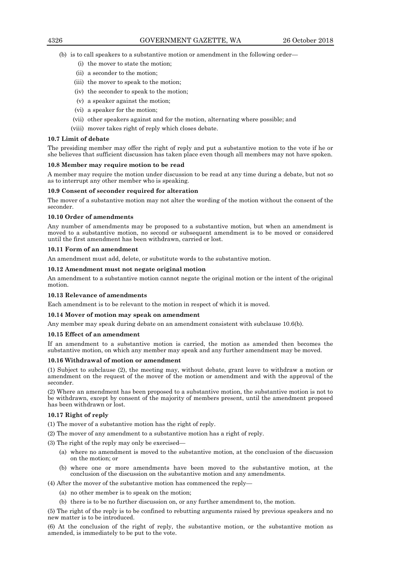- (b) is to call speakers to a substantive motion or amendment in the following order—
	- (i) the mover to state the motion;
	- (ii) a seconder to the motion;
	- (iii) the mover to speak to the motion;
	- (iv) the seconder to speak to the motion;
	- (v) a speaker against the motion;
	- (vi) a speaker for the motion;
	- (vii) other speakers against and for the motion, alternating where possible; and
	- (viii) mover takes right of reply which closes debate.

#### **10.7 Limit of debate**

The presiding member may offer the right of reply and put a substantive motion to the vote if he or she believes that sufficient discussion has taken place even though all members may not have spoken.

#### **10.8 Member may require motion to be read**

A member may require the motion under discussion to be read at any time during a debate, but not so as to interrupt any other member who is speaking.

#### **10.9 Consent of seconder required for alteration**

The mover of a substantive motion may not alter the wording of the motion without the consent of the seconder.

## **10.10 Order of amendments**

Any number of amendments may be proposed to a substantive motion, but when an amendment is moved to a substantive motion, no second or subsequent amendment is to be moved or considered until the first amendment has been withdrawn, carried or lost.

#### **10.11 Form of an amendment**

An amendment must add, delete, or substitute words to the substantive motion.

## **10.12 Amendment must not negate original motion**

An amendment to a substantive motion cannot negate the original motion or the intent of the original motion.

#### **10.13 Relevance of amendments**

Each amendment is to be relevant to the motion in respect of which it is moved.

## **10.14 Mover of motion may speak on amendment**

Any member may speak during debate on an amendment consistent with subclause 10.6(b).

#### **10.15 Effect of an amendment**

If an amendment to a substantive motion is carried, the motion as amended then becomes the substantive motion, on which any member may speak and any further amendment may be moved.

#### **10.16 Withdrawal of motion or amendment**

(1) Subject to subclause (2), the meeting may, without debate, grant leave to withdraw a motion or amendment on the request of the mover of the motion or amendment and with the approval of the seconder.

(2) Where an amendment has been proposed to a substantive motion, the substantive motion is not to be withdrawn, except by consent of the majority of members present, until the amendment proposed has been withdrawn or lost.

#### **10.17 Right of reply**

(1) The mover of a substantive motion has the right of reply.

- (2) The mover of any amendment to a substantive motion has a right of reply.
- (3) The right of the reply may only be exercised—
	- (a) where no amendment is moved to the substantive motion, at the conclusion of the discussion on the motion; or
	- (b) where one or more amendments have been moved to the substantive motion, at the conclusion of the discussion on the substantive motion and any amendments.

(4) After the mover of the substantive motion has commenced the reply—

- (a) no other member is to speak on the motion;
- (b) there is to be no further discussion on, or any further amendment to, the motion.

(5) The right of the reply is to be confined to rebutting arguments raised by previous speakers and no new matter is to be introduced.

(6) At the conclusion of the right of reply, the substantive motion, or the substantive motion as amended, is immediately to be put to the vote.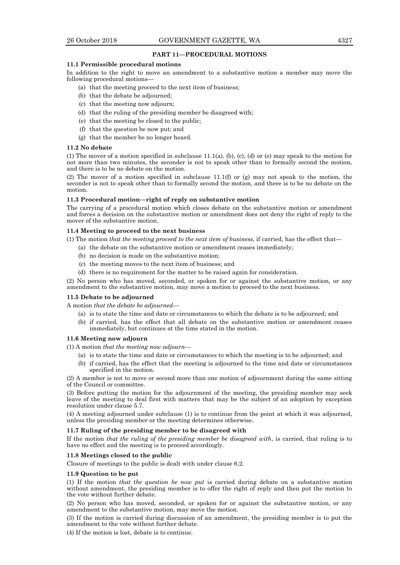## **PART 11—PROCEDURAL MOTIONS**

## **11.1 Permissible procedural motions**

In addition to the right to move an amendment to a substantive motion a member may move the following procedural motions—

- (a) that the meeting proceed to the next item of business;
- (b) that the debate be adjourned;
- (c) that the meeting now adjourn;
- (d) that the ruling of the presiding member be disagreed with;
- (e) that the meeting be closed to the public;
- (f) that the question be now put; and
- (g) that the member be no longer heard.

#### **11.2 No debate**

(1) The mover of a motion specified in subclause  $11.1(a)$ , (b), (c), (d) or (e) may speak to the motion for not more than two minutes, the seconder is not to speak other than to formally second the motion, and there is to be no debate on the motion.

(2) The mover of a motion specified in subclause 11.1(f) or (g) may not speak to the motion, the seconder is not to speak other than to formally second the motion, and there is to be no debate on the motion.

#### **11.3 Procedural motion—right of reply on substantive motion**

The carrying of a procedural motion which closes debate on the substantive motion or amendment and forces a decision on the substantive motion or amendment does not deny the right of reply to the mover of the substantive motion.

#### **11.4 Meeting to proceed to the next business**

(1) The motion *that the meeting proceed to the next item of business*, if carried, has the effect that—

- (a) the debate on the substantive motion or amendment ceases immediately;
	- (b) no decision is made on the substantive motion;
	- (c) the meeting moves to the next item of business; and
	- (d) there is no requirement for the matter to be raised again for consideration.

(2) No person who has moved, seconded, or spoken for or against the substantive motion, or any amendment to the substantive motion, may move a motion to proceed to the next business.

#### **11.5 Debate to be adjourned**

A motion *that the debate be adjourned*—

- (a) is to state the time and date or circumstances to which the debate is to be adjourned; and
- (b) if carried, has the effect that all debate on the substantive motion or amendment ceases immediately, but continues at the time stated in the motion.

## **11.6 Meeting now adjourn**

(1) A motion *that the meeting now adjourn*—

- (a) is to state the time and date or circumstances to which the meeting is to be adjourned; and
- (b) if carried, has the effect that the meeting is adjourned to the time and date or circumstances specified in the motion.

(2) A member is not to move or second more than one motion of adjournment during the same sitting of the Council or committee.

(3) Before putting the motion for the adjournment of the meeting, the presiding member may seek leave of the meeting to deal first with matters that may be the subject of an adoption by exception resolution under clause 5.7.

(4) A meeting adjourned under subclause (1) is to continue from the point at which it was adjourned, unless the presiding member or the meeting determines otherwise.

#### **11.7 Ruling of the presiding member to be disagreed with**

If the motion *that the ruling of the presiding member be disagreed with*, is carried, that ruling is to have no effect and the meeting is to proceed accordingly.

#### **11.8 Meetings closed to the public**

Closure of meetings to the public is dealt with under clause 6.2.

#### **11.9 Question to be put**

(1) If the motion *that the question be now put* is carried during debate on a substantive motion without amendment, the presiding member is to offer the right of reply and then put the motion to the vote without further debate.

(2) No person who has moved, seconded, or spoken for or against the substantive motion, or any amendment to the substantive motion, may move the motion.

(3) If the motion is carried during discussion of an amendment, the presiding member is to put the amendment to the vote without further debate.

(4) If the motion is lost, debate is to continue.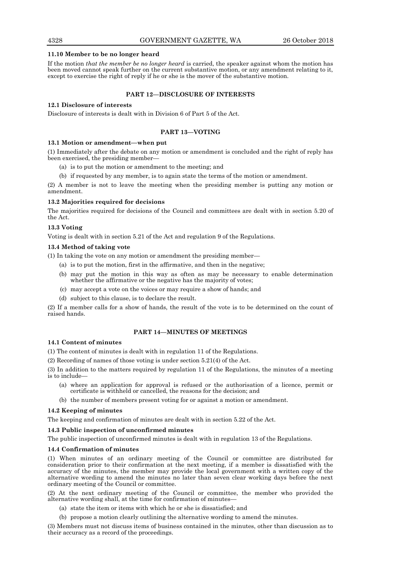#### **11.10 Member to be no longer heard**

If the motion *that the member be no longer heard* is carried, the speaker against whom the motion has been moved cannot speak further on the current substantive motion, or any amendment relating to it, except to exercise the right of reply if he or she is the mover of the substantive motion.

## **PART 12—DISCLOSURE OF INTERESTS**

## **12.1 Disclosure of interests**

Disclosure of interests is dealt with in Division 6 of Part 5 of the Act.

## **PART 13—VOTING**

#### **13.1 Motion or amendment—when put**

(1) Immediately after the debate on any motion or amendment is concluded and the right of reply has been exercised, the presiding member—

- (a) is to put the motion or amendment to the meeting; and
- (b) if requested by any member, is to again state the terms of the motion or amendment.

(2) A member is not to leave the meeting when the presiding member is putting any motion or amendment.

## **13.2 Majorities required for decisions**

The majorities required for decisions of the Council and committees are dealt with in section 5.20 of the Act.

#### **13.3 Voting**

Voting is dealt with in section 5.21 of the Act and regulation 9 of the Regulations.

## **13.4 Method of taking vote**

(1) In taking the vote on any motion or amendment the presiding member—

- (a) is to put the motion, first in the affirmative, and then in the negative;
- (b) may put the motion in this way as often as may be necessary to enable determination whether the affirmative or the negative has the majority of votes;
- (c) may accept a vote on the voices or may require a show of hands; and
- (d) subject to this clause, is to declare the result.

(2) If a member calls for a show of hands, the result of the vote is to be determined on the count of raised hands.

## **PART 14—MINUTES OF MEETINGS**

## **14.1 Content of minutes**

(1) The content of minutes is dealt with in regulation 11 of the Regulations.

(2) Recording of names of those voting is under section 5.21(4) of the Act.

(3) In addition to the matters required by regulation 11 of the Regulations, the minutes of a meeting is to include—

- (a) where an application for approval is refused or the authorisation of a licence, permit or certificate is withheld or cancelled, the reasons for the decision; and
- (b) the number of members present voting for or against a motion or amendment.

#### **14.2 Keeping of minutes**

The keeping and confirmation of minutes are dealt with in section 5.22 of the Act.

## **14.3 Public inspection of unconfirmed minutes**

The public inspection of unconfirmed minutes is dealt with in regulation 13 of the Regulations.

#### **14.4 Confirmation of minutes**

(1) When minutes of an ordinary meeting of the Council or committee are distributed for consideration prior to their confirmation at the next meeting, if a member is dissatisfied with the accuracy of the minutes, the member may provide the local government with a written copy of the alternative wording to amend the minutes no later than seven clear working days before the next ordinary meeting of the Council or committee.

(2) At the next ordinary meeting of the Council or committee, the member who provided the alternative wording shall, at the time for confirmation of minutes—

- (a) state the item or items with which he or she is dissatisfied; and
- (b) propose a motion clearly outlining the alternative wording to amend the minutes.

(3) Members must not discuss items of business contained in the minutes, other than discussion as to their accuracy as a record of the proceedings.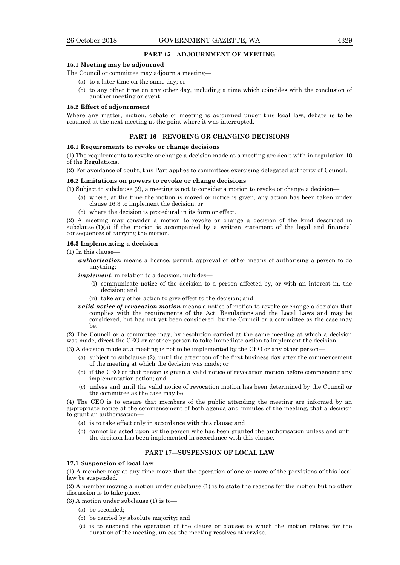## **PART 15—ADJOURNMENT OF MEETING**

#### **15.1 Meeting may be adjourned**

The Council or committee may adjourn a meeting—

- (a) to a later time on the same day; or
- (b) to any other time on any other day, including a time which coincides with the conclusion of another meeting or event.

#### **15.2 Effect of adjournment**

Where any matter, motion, debate or meeting is adjourned under this local law, debate is to be resumed at the next meeting at the point where it was interrupted.

## **PART 16—REVOKING OR CHANGING DECISIONS**

#### **16.1 Requirements to revoke or change decisions**

(1) The requirements to revoke or change a decision made at a meeting are dealt with in regulation 10 of the Regulations.

(2) For avoidance of doubt, this Part applies to committees exercising delegated authority of Council.

#### **16.2 Limitations on powers to revoke or change decisions**

- (1) Subject to subclause (2), a meeting is not to consider a motion to revoke or change a decision—
	- (a) where, at the time the motion is moved or notice is given, any action has been taken under clause 16.3 to implement the decision; or
	- (b) where the decision is procedural in its form or effect.

(2) A meeting may consider a motion to revoke or change a decision of the kind described in subclause  $(1)(a)$  if the motion is accompanied by a written statement of the legal and financial consequences of carrying the motion.

#### **16.3 Implementing a decision**

(1) In this clause—

*authorisation* means a licence, permit, approval or other means of authorising a person to do anything;

*implement*, in relation to a decision, includes—

- (i) communicate notice of the decision to a person affected by, or with an interest in, the decision; and
- (ii) take any other action to give effect to the decision; and
- *valid notice of revocation motion* means a notice of motion to revoke or change a decision that complies with the requirements of the Act, Regulations and the Local Laws and may be considered, but has not yet been considered, by the Council or a committee as the case may be.

(2) The Council or a committee may, by resolution carried at the same meeting at which a decision was made, direct the CEO or another person to take immediate action to implement the decision.

(3) A decision made at a meeting is not to be implemented by the CEO or any other person—

- (a) subject to subclause (2), until the afternoon of the first business day after the commencement of the meeting at which the decision was made; or
- (b) if the CEO or that person is given a valid notice of revocation motion before commencing any implementation action; and
- (c) unless and until the valid notice of revocation motion has been determined by the Council or the committee as the case may be.

(4) The CEO is to ensure that members of the public attending the meeting are informed by an appropriate notice at the commencement of both agenda and minutes of the meeting, that a decision to grant an authorisation—

- (a) is to take effect only in accordance with this clause; and
- (b) cannot be acted upon by the person who has been granted the authorisation unless and until the decision has been implemented in accordance with this clause.

## **PART 17—SUSPENSION OF LOCAL LAW**

#### **17.1 Suspension of local law**

(1) A member may at any time move that the operation of one or more of the provisions of this local law be suspended.

(2) A member moving a motion under subclause (1) is to state the reasons for the motion but no other discussion is to take place.

(3) A motion under subclause (1) is to—

- (a) be seconded;
- (b) be carried by absolute majority; and
- (c) is to suspend the operation of the clause or clauses to which the motion relates for the duration of the meeting, unless the meeting resolves otherwise.